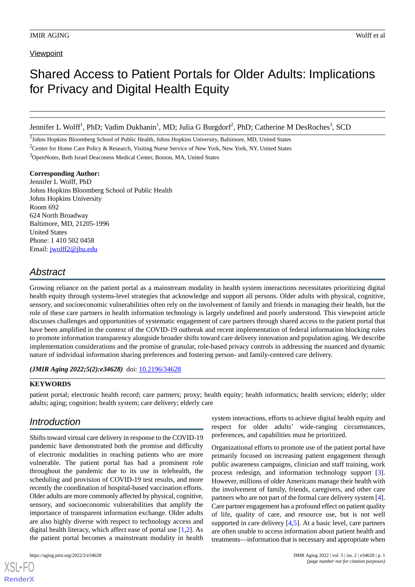# **Viewpoint**

# Shared Access to Patient Portals for Older Adults: Implications for Privacy and Digital Health Equity

Jennifer L Wolff<sup>1</sup>, PhD; Vadim Dukhanin<sup>1</sup>, MD; Julia G Burgdorf<sup>2</sup>, PhD; Catherine M DesRoches<sup>3</sup>, SCD

<sup>1</sup>Johns Hopkins Bloomberg School of Public Health, Johns Hopkins University, Baltimore, MD, United States

<sup>2</sup>Center for Home Care Policy & Research, Visiting Nurse Service of New York, New York, NY, United States

<sup>3</sup>OpenNotes, Beth Israel Deaconess Medical Center, Boston, MA, United States

#### **Corresponding Author:**

Jennifer L Wolff, PhD Johns Hopkins Bloomberg School of Public Health Johns Hopkins University Room 692 624 North Broadway Baltimore, MD, 21205-1996 United States Phone: 1 410 502 0458 Email: [jwolff2@jhu.edu](mailto:jwolff2@jhu.edu)

# *Abstract*

Growing reliance on the patient portal as a mainstream modality in health system interactions necessitates prioritizing digital health equity through systems-level strategies that acknowledge and support all persons. Older adults with physical, cognitive, sensory, and socioeconomic vulnerabilities often rely on the involvement of family and friends in managing their health, but the role of these care partners in health information technology is largely undefined and poorly understood. This viewpoint article discusses challenges and opportunities of systematic engagement of care partners through shared access to the patient portal that have been amplified in the context of the COVID-19 outbreak and recent implementation of federal information blocking rules to promote information transparency alongside broader shifts toward care delivery innovation and population aging. We describe implementation considerations and the promise of granular, role-based privacy controls in addressing the nuanced and dynamic nature of individual information sharing preferences and fostering person- and family-centered care delivery.

(JMIR Aging 2022;5(2):e34628) doi: [10.2196/34628](http://dx.doi.org/10.2196/34628)

# **KEYWORDS**

patient portal; electronic health record; care partners; proxy; health equity; health informatics; health services; elderly; older adults; aging; cognition; health system; care delivery; elderly care

# *Introduction*

Shifts toward virtual care delivery in response to the COVID-19 pandemic have demonstrated both the promise and difficulty of electronic modalities in reaching patients who are more vulnerable. The patient portal has had a prominent role throughout the pandemic due to its use in telehealth, the scheduling and provision of COVID-19 test results, and more recently the coordination of hospital-based vaccination efforts. Older adults are more commonly affected by physical, cognitive, sensory, and socioeconomic vulnerabilities that amplify the importance of transparent information exchange. Older adults are also highly diverse with respect to technology access and digital health literacy, which affect ease of portal use [[1,](#page-3-0)[2](#page-3-1)]. As the patient portal becomes a mainstream modality in health

[XSL](http://www.w3.org/Style/XSL)•FO **[RenderX](http://www.renderx.com/)**

system interactions, efforts to achieve digital health equity and respect for older adults' wide-ranging circumstances, preferences, and capabilities must be prioritized.

Organizational efforts to promote use of the patient portal have primarily focused on increasing patient engagement through public awareness campaigns, clinician and staff training, work process redesign, and information technology support [[3\]](#page-3-2). However, millions of older Americans manage their health with the involvement of family, friends, caregivers, and other care partners who are not part of the formal care delivery system [[4\]](#page-3-3). Care partner engagement has a profound effect on patient quality of life, quality of care, and resource use, but is not well supported in care delivery [[4](#page-3-3)[,5](#page-3-4)]. At a basic level, care partners are often unable to access information about patient health and treatments—information that is necessary and appropriate when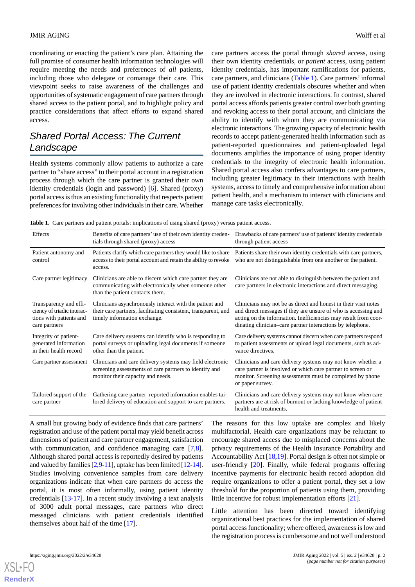coordinating or enacting the patient's care plan. Attaining the full promise of consumer health information technologies will require meeting the needs and preferences of *all* patients, including those who delegate or comanage their care. This viewpoint seeks to raise awareness of the challenges and opportunities of systematic engagement of care partners through shared access to the patient portal, and to highlight policy and practice considerations that affect efforts to expand shared access.

# *Shared Portal Access: The Current Landscape*

Health systems commonly allow patients to authorize a care partner to "share access" to their portal account in a registration process through which the care partner is granted their own identity credentials (login and password) [\[6](#page-3-5)]. Shared (proxy) portal access is thus an existing functionality that respects patient preferences for involving other individuals in their care. Whether care partners access the portal through *shared* access, using their own identity credentials, or *patient* access, using patient identity credentials, has important ramifications for patients, care partners, and clinicians ([Table 1](#page-1-0)). Care partners' informal use of patient identity credentials obscures whether and when they are involved in electronic interactions. In contrast, shared portal access affords patients greater control over both granting and revoking access to their portal account, and clinicians the ability to identify with whom they are communicating via electronic interactions. The growing capacity of electronic health records to accept patient-generated health information such as patient-reported questionnaires and patient-uploaded legal documents amplifies the importance of using proper identity credentials to the integrity of electronic health information. Shared portal access also confers advantages to care partners, including greater legitimacy in their interactions with health systems, access to timely and comprehensive information about patient health, and a mechanism to interact with clinicians and manage care tasks electronically.

<span id="page-1-0"></span>**Table 1.** Care partners and patient portals: implications of using shared (proxy) versus patient access.

| Effects                                                                                          | Benefits of care partners' use of their own identity creden-<br>tials through shared (proxy) access                                                       | Drawbacks of care partners' use of patients' identity credentials<br>through patient access                                                                                                                                                                        |
|--------------------------------------------------------------------------------------------------|-----------------------------------------------------------------------------------------------------------------------------------------------------------|--------------------------------------------------------------------------------------------------------------------------------------------------------------------------------------------------------------------------------------------------------------------|
| Patient autonomy and<br>control                                                                  | Patients clarify which care partners they would like to share<br>access to their portal account and retain the ability to revoke<br>access.               | Patients share their own identity credentials with care partners,<br>who are not distinguishable from one another or the patient.                                                                                                                                  |
| Care partner legitimacy                                                                          | Clinicians are able to discern which care partner they are<br>communicating with electronically when someone other<br>than the patient contacts them.     | Clinicians are not able to distinguish between the patient and<br>care partners in electronic interactions and direct messaging.                                                                                                                                   |
| Transparency and effi-<br>ciency of triadic interac-<br>tions with patients and<br>care partners | Clinicians asynchronously interact with the patient and<br>their care partners, facilitating consistent, transparent, and<br>timely information exchange. | Clinicians may not be as direct and honest in their visit notes<br>and direct messages if they are unsure of who is accessing and<br>acting on the information. Inefficiencies may result from coor-<br>dinating clinician–care partner interactions by telephone. |
| Integrity of patient-<br>generated information<br>in their health record                         | Care delivery systems can identify who is responding to<br>portal surveys or uploading legal documents if someone<br>other than the patient.              | Care delivery systems cannot discern when care partners respond<br>to patient assessments or upload legal documents, such as ad-<br>vance directives.                                                                                                              |
| Care partner assessment                                                                          | Clinicians and care delivery systems may field electronic<br>screening assessments of care partners to identify and<br>monitor their capacity and needs.  | Clinicians and care delivery systems may not know whether a<br>care partner is involved or which care partner to screen or<br>monitor. Screening assessments must be completed by phone<br>or paper survey.                                                        |
| Tailored support of the<br>care partner                                                          | Gathering care partner-reported information enables tai-<br>lored delivery of education and support to care partners.                                     | Clinicians and care delivery systems may not know when care<br>partners are at risk of burnout or lacking knowledge of patient<br>health and treatments.                                                                                                           |

A small but growing body of evidence finds that care partners' registration and use of the patient portal may yield benefit across dimensions of patient and care partner engagement, satisfaction with communication, and confidence managing care [\[7](#page-3-6),[8\]](#page-3-7). Although shared portal access is reportedly desired by patients and valued by families  $[2,9-11]$  $[2,9-11]$  $[2,9-11]$  $[2,9-11]$ , uptake has been limited  $[12-14]$  $[12-14]$ . Studies involving convenience samples from care delivery organizations indicate that when care partners do access the portal, it is most often informally, using patient identity credentials [[13](#page-3-11)[-17](#page-4-1)]. In a recent study involving a text analysis of 3000 adult portal messages, care partners who direct messaged clinicians with patient credentials identified themselves about half of the time [\[17](#page-4-1)].

The reasons for this low uptake are complex and likely multifactorial. Health care organizations may be reluctant to encourage shared access due to misplaced concerns about the privacy requirements of the Health Insurance Portability and Accountability Act [[18,](#page-4-2)[19\]](#page-4-3). Portal design is often not simple or user-friendly [\[20](#page-4-4)]. Finally, while federal programs offering incentive payments for electronic health record adoption did require organizations to offer a patient portal, they set a low threshold for the proportion of patients using them, providing little incentive for robust implementation efforts [[21\]](#page-4-5).

Little attention has been directed toward identifying organizational best practices for the implementation of shared portal access functionality; where offered, awareness is low and the registration process is cumbersome and not well understood

 $X$ SL•F $O$ **[RenderX](http://www.renderx.com/)**

https://aging.jmir.org/2022/2/e34628 | p. 2 *(page number not for citation purposes)*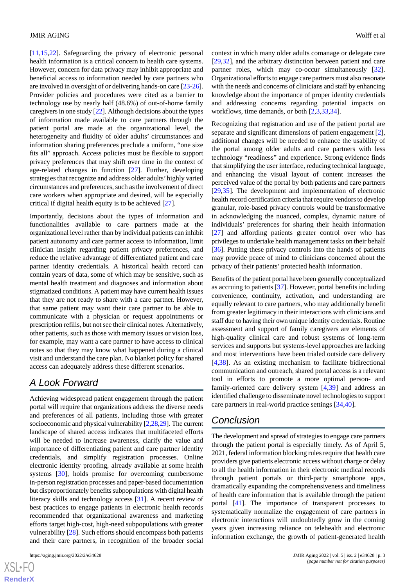[[11](#page-3-9)[,15](#page-4-6),[22\]](#page-4-7). Safeguarding the privacy of electronic personal health information is a critical concern to health care systems. However, concern for data privacy may inhibit appropriate and beneficial access to information needed by care partners who are involved in oversight of or delivering hands-on care [[23-](#page-4-8)[26\]](#page-4-9). Provider policies and procedures were cited as a barrier to technology use by nearly half (48.6%) of out-of-home family caregivers in one study [\[22](#page-4-7)]. Although decisions about the types of information made available to care partners through the patient portal are made at the organizational level, the heterogeneity and fluidity of older adults' circumstances and information sharing preferences preclude a uniform, "one size fits all" approach. Access policies must be flexible to support privacy preferences that may shift over time in the context of age-related changes in function [\[27](#page-4-10)]. Further, developing strategies that recognize and address older adults'highly varied circumstances and preferences, such as the involvement of direct care workers when appropriate and desired, will be especially critical if digital health equity is to be achieved [\[27](#page-4-10)].

Importantly, decisions about the types of information and functionalities available to care partners made at the organizational level rather than by individual patients can inhibit patient autonomy and care partner access to information, limit clinician insight regarding patient privacy preferences, and reduce the relative advantage of differentiated patient and care partner identity credentials. A historical health record can contain years of data, some of which may be sensitive, such as mental health treatment and diagnoses and information about stigmatized conditions. A patient may have current health issues that they are not ready to share with a care partner. However, that same patient may want their care partner to be able to communicate with a physician or request appointments or prescription refills, but not see their clinical notes. Alternatively, other patients, such as those with memory issues or vision loss, for example, may want a care partner to have access to clinical notes so that they may know what happened during a clinical visit and understand the care plan. No blanket policy for shared access can adequately address these different scenarios.

# *A Look Forward*

Achieving widespread patient engagement through the patient portal will require that organizations address the diverse needs and preferences of all patients, including those with greater socioeconomic and physical vulnerability [[2](#page-3-1),[28,](#page-4-11)[29\]](#page-4-12). The current landscape of shared access indicates that multifaceted efforts will be needed to increase awareness, clarify the value and importance of differentiating patient and care partner identity credentials, and simplify registration processes. Online electronic identity proofing, already available at some health systems [\[30](#page-4-13)], holds promise for overcoming cumbersome in-person registration processes and paper-based documentation but disproportionately benefits subpopulations with digital health literacy skills and technology access [[31\]](#page-4-14). A recent review of best practices to engage patients in electronic health records recommended that organizational awareness and marketing efforts target high-cost, high-need subpopulations with greater vulnerability [[28\]](#page-4-11). Such efforts should encompass both patients and their care partners, in recognition of the broader social

[XSL](http://www.w3.org/Style/XSL)•FO **[RenderX](http://www.renderx.com/)** context in which many older adults comanage or delegate care [[29,](#page-4-12)[32\]](#page-4-15), and the arbitrary distinction between patient and care partner roles, which may co-occur simultaneously [[32\]](#page-4-15). Organizational efforts to engage care partners must also resonate with the needs and concerns of clinicians and staff by enhancing knowledge about the importance of proper identity credentials and addressing concerns regarding potential impacts on workflows, time demands, or both [\[2](#page-3-1),[3](#page-3-2)[,33](#page-4-16),[34\]](#page-4-17).

Recognizing that registration and use of the patient portal are separate and significant dimensions of patient engagement [[2\]](#page-3-1), additional changes will be needed to enhance the usability of the portal among older adults and care partners with less technology "readiness" and experience. Strong evidence finds that simplifying the user interface, reducing technical language, and enhancing the visual layout of content increases the perceived value of the portal by both patients and care partners [[29,](#page-4-12)[35\]](#page-4-18). The development and implementation of electronic health record certification criteria that require vendors to develop granular, role-based privacy controls would be transformative in acknowledging the nuanced, complex, dynamic nature of individuals' preferences for sharing their health information [[27\]](#page-4-10) and affording patients greater control over who has privileges to undertake health management tasks on their behalf [[36\]](#page-5-0). Putting these privacy controls into the hands of patients may provide peace of mind to clinicians concerned about the privacy of their patients' protected health information.

Benefits of the patient portal have been generally conceptualized as accruing to patients [\[37](#page-5-1)]. However, portal benefits including convenience, continuity, activation, and understanding are equally relevant to care partners, who may additionally benefit from greater legitimacy in their interactions with clinicians and staff due to having their own unique identity credentials. Routine assessment and support of family caregivers are elements of high-quality clinical care and robust systems of long-term services and supports but systems-level approaches are lacking and most interventions have been trialed outside care delivery [[4](#page-3-3)[,38](#page-5-2)]. As an existing mechanism to facilitate bidirectional communication and outreach, shared portal access is a relevant tool in efforts to promote a more optimal person- and family-oriented care delivery system [\[4](#page-3-3),[39\]](#page-5-3) and address an identified challenge to disseminate novel technologies to support care partners in real-world practice settings [\[34](#page-4-17),[40\]](#page-5-4).

# *Conclusion*

The development and spread of strategies to engage care partners through the patient portal is especially timely. As of April 5, 2021, federal information blocking rules require that health care providers give patients electronic access without charge or delay to all the health information in their electronic medical records through patient portals or third-party smartphone apps, dramatically expanding the comprehensiveness and timeliness of health care information that is available through the patient portal [\[41](#page-5-5)]. The importance of transparent processes to systematically normalize the engagement of care partners in electronic interactions will undoubtedly grow in the coming years given increasing reliance on telehealth and electronic information exchange, the growth of patient-generated health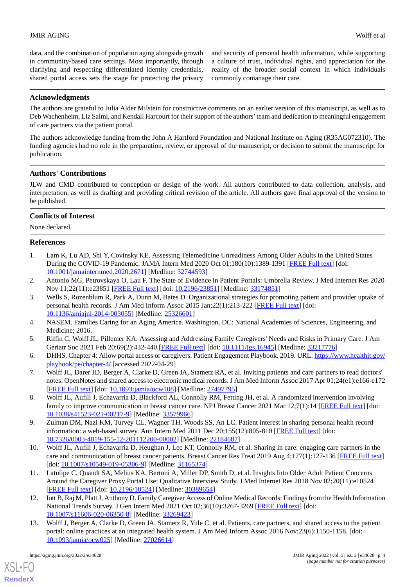data, and the combination of population aging alongside growth in community-based care settings. Most importantly, through clarifying and respecting differentiated identity credentials, shared portal access sets the stage for protecting the privacy

and security of personal health information, while supporting a culture of trust, individual rights, and appreciation for the reality of the broader social context in which individuals commonly comanage their care.

# **Acknowledgments**

The authors are grateful to Julia Alder Milstein for constructive comments on an earlier version of this manuscript, as well as to Deb Wachenheim, Liz Salmi, and Kendall Harcourt for their support of the authors'team and dedication to meaningful engagement of care partners via the patient portal.

The authors acknowledge funding from the John A Hartford Foundation and National Institute on Aging (R35AG072310). The funding agencies had no role in the preparation, review, or approval of the manuscript, or decision to submit the manuscript for publication.

## **Authors' Contributions**

JLW and CMD contributed to conception or design of the work. All authors contributed to data collection, analysis, and interpretation, as well as drafting and providing critical revision of the article. All authors gave final approval of the version to be published.

#### **Conflicts of Interest**

<span id="page-3-0"></span>None declared.

## **References**

- <span id="page-3-2"></span><span id="page-3-1"></span>1. Lam K, Lu AD, Shi Y, Covinsky KE. Assessing Telemedicine Unreadiness Among Older Adults in the United States During the COVID-19 Pandemic. JAMA Intern Med 2020 Oct 01;180(10):1389-1391 [[FREE Full text\]](http://europepmc.org/abstract/MED/32744593) [doi: [10.1001/jamainternmed.2020.2671\]](http://dx.doi.org/10.1001/jamainternmed.2020.2671) [Medline: [32744593\]](http://www.ncbi.nlm.nih.gov/entrez/query.fcgi?cmd=Retrieve&db=PubMed&list_uids=32744593&dopt=Abstract)
- 2. Antonio MG, Petrovskaya O, Lau F. The State of Evidence in Patient Portals: Umbrella Review. J Med Internet Res 2020 Nov 11;22(11):e23851 [[FREE Full text](https://www.jmir.org/2020/11/e23851/)] [doi: [10.2196/23851\]](http://dx.doi.org/10.2196/23851) [Medline: [33174851](http://www.ncbi.nlm.nih.gov/entrez/query.fcgi?cmd=Retrieve&db=PubMed&list_uids=33174851&dopt=Abstract)]
- <span id="page-3-4"></span><span id="page-3-3"></span>3. Wells S, Rozenblum R, Park A, Dunn M, Bates D. Organizational strategies for promoting patient and provider uptake of personal health records. J Am Med Inform Assoc 2015 Jan;22(1):213-222 [\[FREE Full text\]](http://europepmc.org/abstract/MED/25326601) [doi: [10.1136/amiajnl-2014-003055](http://dx.doi.org/10.1136/amiajnl-2014-003055)] [Medline: [25326601](http://www.ncbi.nlm.nih.gov/entrez/query.fcgi?cmd=Retrieve&db=PubMed&list_uids=25326601&dopt=Abstract)]
- <span id="page-3-5"></span>4. NASEM. Families Caring for an Aging America. Washington, DC: National Academies of Sciences, Engineering, and Medicine; 2016.
- <span id="page-3-6"></span>5. Riffin C, Wolff JL, Pillemer KA. Assessing and Addressing Family Caregivers' Needs and Risks in Primary Care. J Am Geriatr Soc 2021 Feb 20;69(2):432-440 [\[FREE Full text\]](http://europepmc.org/abstract/MED/33217776) [doi: [10.1111/jgs.16945](http://dx.doi.org/10.1111/jgs.16945)] [Medline: [33217776](http://www.ncbi.nlm.nih.gov/entrez/query.fcgi?cmd=Retrieve&db=PubMed&list_uids=33217776&dopt=Abstract)]
- <span id="page-3-7"></span>6. DHHS. Chapter 4: Allow portal access or caregivers. Patient Engagement Playbook. 2019. URL: [https://www.healthit.gov/](https://www.healthit.gov/playbook/pe/chapter-4/) [playbook/pe/chapter-4/](https://www.healthit.gov/playbook/pe/chapter-4/) [accessed 2022-04-29]
- <span id="page-3-8"></span>7. Wolff JL, Darer JD, Berger A, Clarke D, Green JA, Stametz RA, et al. Inviting patients and care partners to read doctors' notes: OpenNotes and shared access to electronic medical records. J Am Med Inform Assoc 2017 Apr 01;24(e1):e166-e172 [[FREE Full text](http://europepmc.org/abstract/MED/27497795)] [doi: [10.1093/jamia/ocw108](http://dx.doi.org/10.1093/jamia/ocw108)] [Medline: [27497795](http://www.ncbi.nlm.nih.gov/entrez/query.fcgi?cmd=Retrieve&db=PubMed&list_uids=27497795&dopt=Abstract)]
- 8. Wolff JL, Aufill J, Echavarria D, Blackford AL, Connolly RM, Fetting JH, et al. A randomized intervention involving family to improve communication in breast cancer care. NPJ Breast Cancer 2021 Mar 12;7(1):14 [\[FREE Full text\]](https://doi.org/10.1038/s41523-021-00217-9) [doi: [10.1038/s41523-021-00217-9\]](http://dx.doi.org/10.1038/s41523-021-00217-9) [Medline: [33579966\]](http://www.ncbi.nlm.nih.gov/entrez/query.fcgi?cmd=Retrieve&db=PubMed&list_uids=33579966&dopt=Abstract)
- <span id="page-3-9"></span>9. Zulman DM, Nazi KM, Turvey CL, Wagner TH, Woods SS, An LC. Patient interest in sharing personal health record information: a web-based survey. Ann Intern Med 2011 Dec 20;155(12):805-810 [\[FREE Full text\]](https://www.acpjournals.org/doi/abs/10.7326/0003-4819-155-12-201112200-00002?url_ver=Z39.88-2003&rfr_id=ori:rid:crossref.org&rfr_dat=cr_pub%3dpubmed) [doi: [10.7326/0003-4819-155-12-201112200-00002](http://dx.doi.org/10.7326/0003-4819-155-12-201112200-00002)] [Medline: [22184687](http://www.ncbi.nlm.nih.gov/entrez/query.fcgi?cmd=Retrieve&db=PubMed&list_uids=22184687&dopt=Abstract)]
- <span id="page-3-10"></span>10. Wolff JL, Aufill J, Echavarria D, Heughan J, Lee KT, Connolly RM, et al. Sharing in care: engaging care partners in the care and communication of breast cancer patients. Breast Cancer Res Treat 2019 Aug 4;177(1):127-136 [[FREE Full text\]](http://europepmc.org/abstract/MED/31165374) [doi: [10.1007/s10549-019-05306-9](http://dx.doi.org/10.1007/s10549-019-05306-9)] [Medline: [31165374\]](http://www.ncbi.nlm.nih.gov/entrez/query.fcgi?cmd=Retrieve&db=PubMed&list_uids=31165374&dopt=Abstract)
- <span id="page-3-11"></span>11. Latulipe C, Quandt SA, Melius KA, Bertoni A, Miller DP, Smith D, et al. Insights Into Older Adult Patient Concerns Around the Caregiver Proxy Portal Use: Qualitative Interview Study. J Med Internet Res 2018 Nov 02;20(11):e10524 [[FREE Full text](https://www.jmir.org/2018/11/e10524/)] [doi: [10.2196/10524\]](http://dx.doi.org/10.2196/10524) [Medline: [30389654\]](http://www.ncbi.nlm.nih.gov/entrez/query.fcgi?cmd=Retrieve&db=PubMed&list_uids=30389654&dopt=Abstract)
- 12. Iott B, Raj M, Platt J, Anthony D. Family Caregiver Access of Online Medical Records: Findings from the Health Information National Trends Survey. J Gen Intern Med 2021 Oct 02;36(10):3267-3269 [\[FREE Full text\]](http://europepmc.org/abstract/MED/33269423) [doi: [10.1007/s11606-020-06350-8\]](http://dx.doi.org/10.1007/s11606-020-06350-8) [Medline: [33269423\]](http://www.ncbi.nlm.nih.gov/entrez/query.fcgi?cmd=Retrieve&db=PubMed&list_uids=33269423&dopt=Abstract)
- 13. Wolff J, Berger A, Clarke D, Green JA, Stametz R, Yule C, et al. Patients, care partners, and shared access to the patient portal: online practices at an integrated health system. J Am Med Inform Assoc 2016 Nov;23(6):1150-1158. [doi: [10.1093/jamia/ocw025](http://dx.doi.org/10.1093/jamia/ocw025)] [Medline: [27026614](http://www.ncbi.nlm.nih.gov/entrez/query.fcgi?cmd=Retrieve&db=PubMed&list_uids=27026614&dopt=Abstract)]

[XSL](http://www.w3.org/Style/XSL)•FO **[RenderX](http://www.renderx.com/)**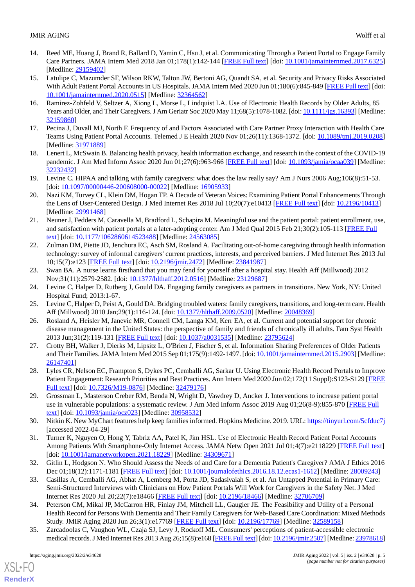- <span id="page-4-0"></span>14. Reed ME, Huang J, Brand R, Ballard D, Yamin C, Hsu J, et al. Communicating Through a Patient Portal to Engage Family Care Partners. JAMA Intern Med 2018 Jan 01;178(1):142-144 [[FREE Full text\]](http://europepmc.org/abstract/MED/29159402) [doi: [10.1001/jamainternmed.2017.6325\]](http://dx.doi.org/10.1001/jamainternmed.2017.6325) [Medline: [29159402](http://www.ncbi.nlm.nih.gov/entrez/query.fcgi?cmd=Retrieve&db=PubMed&list_uids=29159402&dopt=Abstract)]
- <span id="page-4-6"></span>15. Latulipe C, Mazumder SF, Wilson RKW, Talton JW, Bertoni AG, Quandt SA, et al. Security and Privacy Risks Associated With Adult Patient Portal Accounts in US Hospitals. JAMA Intern Med 2020 Jun 01;180(6):845-849 [\[FREE Full text](http://europepmc.org/abstract/MED/32364562)] [doi: [10.1001/jamainternmed.2020.0515\]](http://dx.doi.org/10.1001/jamainternmed.2020.0515) [Medline: [32364562\]](http://www.ncbi.nlm.nih.gov/entrez/query.fcgi?cmd=Retrieve&db=PubMed&list_uids=32364562&dopt=Abstract)
- <span id="page-4-1"></span>16. Ramirez-Zohfeld V, Seltzer A, Xiong L, Morse L, Lindquist LA. Use of Electronic Health Records by Older Adults, 85 Years and Older, and Their Caregivers. J Am Geriatr Soc 2020 May 11;68(5):1078-1082. [doi: [10.1111/jgs.16393\]](http://dx.doi.org/10.1111/jgs.16393) [Medline: [32159860](http://www.ncbi.nlm.nih.gov/entrez/query.fcgi?cmd=Retrieve&db=PubMed&list_uids=32159860&dopt=Abstract)]
- <span id="page-4-2"></span>17. Pecina J, Duvall MJ, North F. Frequency of and Factors Associated with Care Partner Proxy Interaction with Health Care Teams Using Patient Portal Accounts. Telemed J E Health 2020 Nov 01;26(11):1368-1372. [doi: [10.1089/tmj.2019.0208](http://dx.doi.org/10.1089/tmj.2019.0208)] [Medline: [31971889](http://www.ncbi.nlm.nih.gov/entrez/query.fcgi?cmd=Retrieve&db=PubMed&list_uids=31971889&dopt=Abstract)]
- <span id="page-4-3"></span>18. Lenert L, McSwain B. Balancing health privacy, health information exchange, and research in the context of the COVID-19 pandemic. J Am Med Inform Assoc 2020 Jun 01;27(6):963-966 [[FREE Full text\]](http://europepmc.org/abstract/MED/32232432) [doi: [10.1093/jamia/ocaa039\]](http://dx.doi.org/10.1093/jamia/ocaa039) [Medline: [32232432](http://www.ncbi.nlm.nih.gov/entrez/query.fcgi?cmd=Retrieve&db=PubMed&list_uids=32232432&dopt=Abstract)]
- <span id="page-4-4"></span>19. Levine C. HIPAA and talking with family caregivers: what does the law really say? Am J Nurs 2006 Aug;106(8):51-53. [doi: [10.1097/00000446-200608000-00022\]](http://dx.doi.org/10.1097/00000446-200608000-00022) [Medline: [16905933\]](http://www.ncbi.nlm.nih.gov/entrez/query.fcgi?cmd=Retrieve&db=PubMed&list_uids=16905933&dopt=Abstract)
- <span id="page-4-5"></span>20. Nazi KM, Turvey CL, Klein DM, Hogan TP. A Decade of Veteran Voices: Examining Patient Portal Enhancements Through the Lens of User-Centered Design. J Med Internet Res 2018 Jul 10;20(7):e10413 [\[FREE Full text\]](https://www.jmir.org/2018/7/e10413/) [doi: [10.2196/10413](http://dx.doi.org/10.2196/10413)] [Medline: [29991468](http://www.ncbi.nlm.nih.gov/entrez/query.fcgi?cmd=Retrieve&db=PubMed&list_uids=29991468&dopt=Abstract)]
- <span id="page-4-7"></span>21. Neuner J, Fedders M, Caravella M, Bradford L, Schapira M. Meaningful use and the patient portal: patient enrollment, use, and satisfaction with patient portals at a later-adopting center. Am J Med Qual 2015 Feb 21;30(2):105-113 [\[FREE Full](http://europepmc.org/abstract/MED/24563085) [text](http://europepmc.org/abstract/MED/24563085)] [doi: [10.1177/1062860614523488\]](http://dx.doi.org/10.1177/1062860614523488) [Medline: [24563085\]](http://www.ncbi.nlm.nih.gov/entrez/query.fcgi?cmd=Retrieve&db=PubMed&list_uids=24563085&dopt=Abstract)
- <span id="page-4-8"></span>22. Zulman DM, Piette JD, Jenchura EC, Asch SM, Rosland A. Facilitating out-of-home caregiving through health information technology: survey of informal caregivers' current practices, interests, and perceived barriers. J Med Internet Res 2013 Jul 10;15(7):e123 [\[FREE Full text](https://www.jmir.org/2013/7/e123/)] [doi: [10.2196/jmir.2472](http://dx.doi.org/10.2196/jmir.2472)] [Medline: [23841987](http://www.ncbi.nlm.nih.gov/entrez/query.fcgi?cmd=Retrieve&db=PubMed&list_uids=23841987&dopt=Abstract)]
- 23. Swan BA. A nurse learns firsthand that you may fend for yourself after a hospital stay. Health Aff (Millwood) 2012 Nov;31(11):2579-2582. [doi: [10.1377/hlthaff.2012.0516](http://dx.doi.org/10.1377/hlthaff.2012.0516)] [Medline: [23129687\]](http://www.ncbi.nlm.nih.gov/entrez/query.fcgi?cmd=Retrieve&db=PubMed&list_uids=23129687&dopt=Abstract)
- <span id="page-4-9"></span>24. Levine C, Halper D, Rutberg J, Gould DA. Engaging family caregivers as partners in transitions. New York, NY: United Hospital Fund; 2013:1-67.
- <span id="page-4-10"></span>25. Levine C, Halper D, Peist A, Gould DA. Bridging troubled waters: family caregivers, transitions, and long-term care. Health Aff (Millwood) 2010 Jan;29(1):116-124. [doi: [10.1377/hlthaff.2009.0520](http://dx.doi.org/10.1377/hlthaff.2009.0520)] [Medline: [20048369](http://www.ncbi.nlm.nih.gov/entrez/query.fcgi?cmd=Retrieve&db=PubMed&list_uids=20048369&dopt=Abstract)]
- 26. Rosland A, Heisler M, Janevic MR, Connell CM, Langa KM, Kerr EA, et al. Current and potential support for chronic disease management in the United States: the perspective of family and friends of chronically ill adults. Fam Syst Health 2013 Jun;31(2):119-131 [\[FREE Full text\]](http://europepmc.org/abstract/MED/23795624) [doi: [10.1037/a0031535\]](http://dx.doi.org/10.1037/a0031535) [Medline: [23795624](http://www.ncbi.nlm.nih.gov/entrez/query.fcgi?cmd=Retrieve&db=PubMed&list_uids=23795624&dopt=Abstract)]
- <span id="page-4-12"></span><span id="page-4-11"></span>27. Crotty BH, Walker J, Dierks M, Lipsitz L, O'Brien J, Fischer S, et al. Information Sharing Preferences of Older Patients and Their Families. JAMA Intern Med 2015 Sep 01;175(9):1492-1497. [doi: [10.1001/jamainternmed.2015.2903](http://dx.doi.org/10.1001/jamainternmed.2015.2903)] [Medline: [26147401](http://www.ncbi.nlm.nih.gov/entrez/query.fcgi?cmd=Retrieve&db=PubMed&list_uids=26147401&dopt=Abstract)]
- <span id="page-4-13"></span>28. Lyles CR, Nelson EC, Frampton S, Dykes PC, Cemballi AG, Sarkar U. Using Electronic Health Record Portals to Improve Patient Engagement: Research Priorities and Best Practices. Ann Intern Med 2020 Jun 02;172(11 Suppl):S123-S129 [\[FREE](https://www.acpjournals.org/doi/abs/10.7326/M19-0876?url_ver=Z39.88-2003&rfr_id=ori:rid:crossref.org&rfr_dat=cr_pub%3dpubmed) [Full text\]](https://www.acpjournals.org/doi/abs/10.7326/M19-0876?url_ver=Z39.88-2003&rfr_id=ori:rid:crossref.org&rfr_dat=cr_pub%3dpubmed) [doi: [10.7326/M19-0876\]](http://dx.doi.org/10.7326/M19-0876) [Medline: [32479176](http://www.ncbi.nlm.nih.gov/entrez/query.fcgi?cmd=Retrieve&db=PubMed&list_uids=32479176&dopt=Abstract)]
- <span id="page-4-14"></span>29. Grossman L, Masterson Creber RM, Benda N, Wright D, Vawdrey D, Ancker J. Interventions to increase patient portal use in vulnerable populations: a systematic review. J Am Med Inform Assoc 2019 Aug 01;26(8-9):855-870 [[FREE Full](http://europepmc.org/abstract/MED/30958532) [text](http://europepmc.org/abstract/MED/30958532)] [doi: [10.1093/jamia/ocz023\]](http://dx.doi.org/10.1093/jamia/ocz023) [Medline: [30958532\]](http://www.ncbi.nlm.nih.gov/entrez/query.fcgi?cmd=Retrieve&db=PubMed&list_uids=30958532&dopt=Abstract)
- <span id="page-4-15"></span>30. Nitkin K. New MyChart features help keep families informed. Hopkins Medicine. 2019. URL: [https://tinyurl.com/5cfduc7j](https://www.hopkinsmedicine.org/office-of-johns-hopkins-physicians/best-practice-news/new-mychart-features-help-keep-families-informed) [accessed 2022-04-29]
- <span id="page-4-16"></span>31. Turner K, Nguyen O, Hong Y, Tabriz AA, Patel K, Jim HSL. Use of Electronic Health Record Patient Portal Accounts Among Patients With Smartphone-Only Internet Access. JAMA Netw Open 2021 Jul 01;4(7):e2118229 [[FREE Full text](https://jamanetwork.com/journals/jamanetworkopen/fullarticle/10.1001/jamanetworkopen.2021.18229)] [doi: [10.1001/jamanetworkopen.2021.18229\]](http://dx.doi.org/10.1001/jamanetworkopen.2021.18229) [Medline: [34309671](http://www.ncbi.nlm.nih.gov/entrez/query.fcgi?cmd=Retrieve&db=PubMed&list_uids=34309671&dopt=Abstract)]
- <span id="page-4-17"></span>32. Gitlin L, Hodgson N. Who Should Assess the Needs of and Care for a Dementia Patient's Caregiver? AMA J Ethics 2016 Dec 01;18(12):1171-1181 [\[FREE Full text\]](https://journalofethics.ama-assn.org/article/who-should-assess-needs-and-care-dementia-patients-caregiver/2016-12) [doi: [10.1001/journalofethics.2016.18.12.ecas1-1612\]](http://dx.doi.org/10.1001/journalofethics.2016.18.12.ecas1-1612) [Medline: [28009243\]](http://www.ncbi.nlm.nih.gov/entrez/query.fcgi?cmd=Retrieve&db=PubMed&list_uids=28009243&dopt=Abstract)
- <span id="page-4-18"></span>33. Casillas A, Cemballi AG, Abhat A, Lemberg M, Portz JD, Sadasivaiah S, et al. An Untapped Potential in Primary Care: Semi-Structured Interviews with Clinicians on How Patient Portals Will Work for Caregivers in the Safety Net. J Med Internet Res 2020 Jul 20;22(7):e18466 [[FREE Full text](https://www.jmir.org/2020/7/e18466/)] [doi: [10.2196/18466\]](http://dx.doi.org/10.2196/18466) [Medline: [32706709](http://www.ncbi.nlm.nih.gov/entrez/query.fcgi?cmd=Retrieve&db=PubMed&list_uids=32706709&dopt=Abstract)]
- 34. Peterson CM, Mikal JP, McCarron HR, Finlay JM, Mitchell LL, Gaugler JE. The Feasibility and Utility of a Personal Health Record for Persons With Dementia and Their Family Caregivers for Web-Based Care Coordination: Mixed Methods Study. JMIR Aging 2020 Jun 26;3(1):e17769 [\[FREE Full text\]](https://aging.jmir.org/2020/1/e17769/) [doi: [10.2196/17769](http://dx.doi.org/10.2196/17769)] [Medline: [32589158](http://www.ncbi.nlm.nih.gov/entrez/query.fcgi?cmd=Retrieve&db=PubMed&list_uids=32589158&dopt=Abstract)]
- 35. Zarcadoolas C, Vaughon WL, Czaja SJ, Levy J, Rockoff ML. Consumers' perceptions of patient-accessible electronic medical records. J Med Internet Res 2013 Aug 26;15(8):e168 [\[FREE Full text](https://www.jmir.org/2013/8/e168/)] [doi: [10.2196/jmir.2507](http://dx.doi.org/10.2196/jmir.2507)] [Medline: [23978618](http://www.ncbi.nlm.nih.gov/entrez/query.fcgi?cmd=Retrieve&db=PubMed&list_uids=23978618&dopt=Abstract)]

[XSL](http://www.w3.org/Style/XSL)•FO **[RenderX](http://www.renderx.com/)**